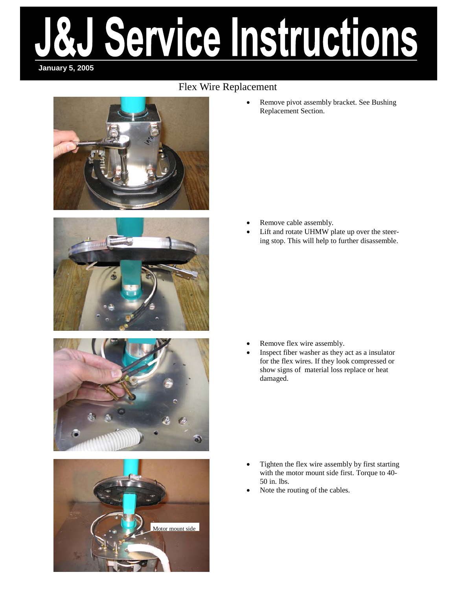# ervice instructions **January 5, 2005**

### Flex Wire Replacement









• Remove pivot assembly bracket. See Bushing Replacement Section.

- Remove cable assembly.
- Lift and rotate UHMW plate up over the steering stop. This will help to further disassemble.

- Remove flex wire assembly.
- Inspect fiber washer as they act as a insulator for the flex wires. If they look compressed or show signs of material loss replace or heat damaged.

- Tighten the flex wire assembly by first starting with the motor mount side first. Torque to 40- 50 in. lbs.
- Note the routing of the cables.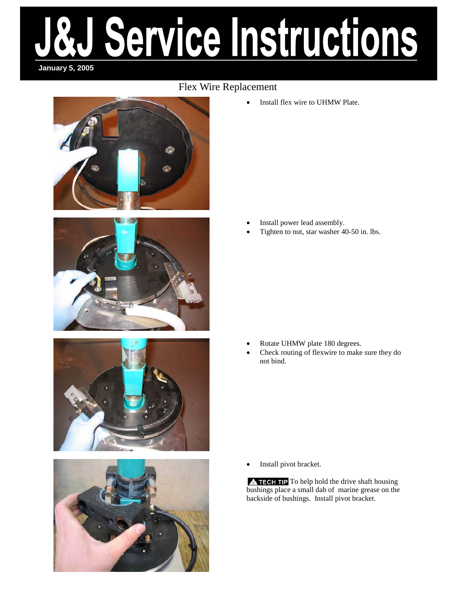# Service Instructions **January 5, 2005**

#### Flex Wire Replacement







Install flex wire to UHMW Plate.

- Install power lead assembly.
- Tighten to nut, star washer 40-50 in. lbs.

- Rotate UHMW plate 180 degrees.
- Check routing of flexwire to make sure they do not bind.

Install pivot bracket.

 $\triangle$  TECH TIP To help hold the drive shaft housing bushings place a small dab of marine grease on the backside of bushings. Install pivot bracket.